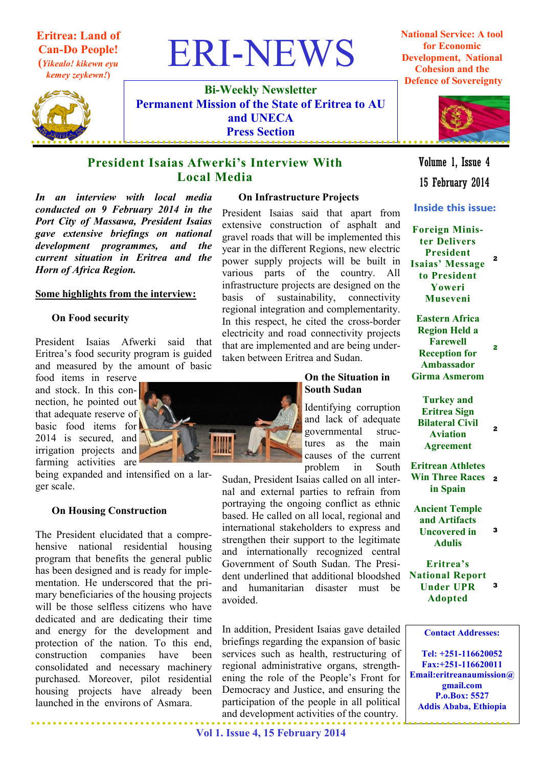# Eritrea: Land of Can-Do People!

(Yikealo! kikewn eyu kemey zeykewn!)



Bi-Weekly Newsletter Permanent Mission of the State of Eritrea to AU and UNECA Press Section

**ERI-NEWS** 

## President Isaias Afwerki's Interview With Local Media

In an interview with local media conducted on 9 February 2014 in the Port City of Massawa, President Isaias gave extensive briefings on national development programmes, and the current situation in Eritrea and the Horn of Africa Region.

### Some highlights from the interview:

#### On Food security

President Isaias Afwerki said that Eritrea's food security program is guided and measured by the amount of basic

food items in reserve and stock. In this connection, he pointed out that adequate reserve of basic food items for 2014 is secured, and irrigation projects and farming activities are

being expanded and intensified on a larger scale.

#### On Housing Construction

The President elucidated that a comprehensive national residential housing program that benefits the general public has been designed and is ready for implementation. He underscored that the primary beneficiaries of the housing projects will be those selfless citizens who have dedicated and are dedicating their time and energy for the development and protection of the nation. To this end, construction companies have been consolidated and necessary machinery purchased. Moreover, pilot residential housing projects have already been launched in the environs of Asmara.

#### On Infrastructure Projects

President Isaias said that apart from extensive construction of asphalt and gravel roads that will be implemented this year in the different Regions, new electric power supply projects will be built in various parts of the country. All infrastructure projects are designed on the basis of sustainability, connectivity regional integration and complementarity. In this respect, he cited the cross-border electricity and road connectivity projects that are implemented and are being undertaken between Eritrea and Sudan.



### On the Situation in South Sudan

Identifying corruption and lack of adequate governmental structures as the main causes of the current problem in South

Sudan, President Isaias called on all internal and external parties to refrain from portraying the ongoing conflict as ethnic based. He called on all local, regional and international stakeholders to express and strengthen their support to the legitimate and internationally recognized central Government of South Sudan. The President underlined that additional bloodshed and humanitarian disaster must be avoided.

In addition, President Isaias gave detailed briefings regarding the expansion of basic services such as health, restructuring of regional administrative organs, strengthening the role of the People's Front for Democracy and Justice, and ensuring the participation of the people in all political and development activities of the country.

National Service: A tool for Economic Development, National Cohesion and the Defence of Sovereignty



15 February 2014 Volume 1, Issue 4

Inside this issue:

Foreign Minister Delivers President Isaias' Message to President Yoweri Museveni 2

Eastern Africa Region Held a Farewell Reception for Ambassador Girma Asmerom 2

Turkey and Eritrea Sign Bilateral Civil Aviation Agreement 2

Eritrean Athletes Win Three Races 2 in Spain

Ancient Temple and Artifacts Uncovered in Adulis 3

Eritrea's National Report Under UPR Adopted 3

Tel: +251-116620052 Fax:+251-116620011 Email:eritreanaumission@ gmail.com P.o.Box: 5527 Addis Ababa, Ethiopia

Contact Addresses: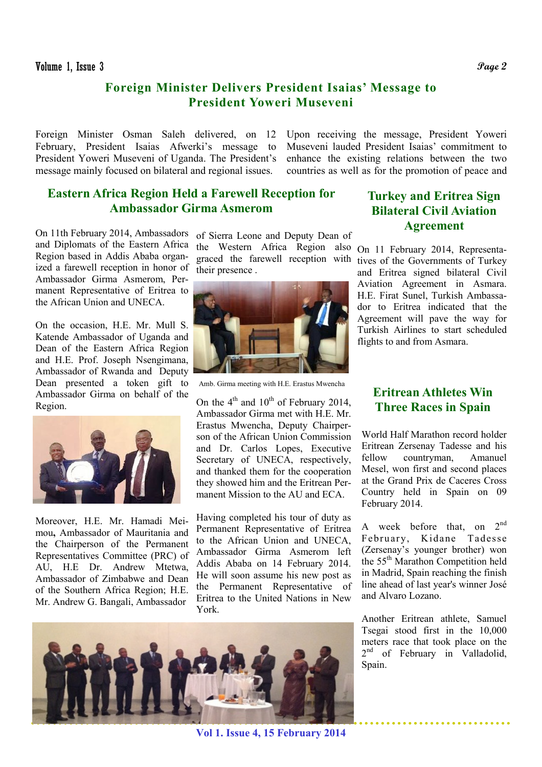## Foreign Minister Delivers President Isaias' Message to President Yoweri Museveni

Foreign Minister Osman Saleh delivered, on 12 February, President Isaias Afwerki's message to President Yoweri Museveni of Uganda. The President's message mainly focused on bilateral and regional issues.

Upon receiving the message, President Yoweri Museveni lauded President Isaias' commitment to enhance the existing relations between the two countries as well as for the promotion of peace and

## Eastern Africa Region Held a Farewell Reception for Ambassador Girma Asmerom

On 11th February 2014, Ambassadors and Diplomats of the Eastern Africa Region based in Addis Ababa organized a farewell reception in honor of Ambassador Girma Asmerom, Permanent Representative of Eritrea to the African Union and UNECA.

On the occasion, H.E. Mr. Mull S. Katende Ambassador of Uganda and Dean of the Eastern Africa Region and H.E. Prof. Joseph Nsengimana, Ambassador of Rwanda and Deputy Dean presented a token gift to Ambassador Girma on behalf of the Region.



Moreover, H.E. Mr. Hamadi Meimou, Ambassador of Mauritania and the Chairperson of the Permanent Representatives Committee (PRC) of AU, H.E Dr. Andrew Mtetwa, Ambassador of Zimbabwe and Dean of the Southern Africa Region; H.E. Mr. Andrew G. Bangali, Ambassador

the Western Africa Region also On 11 February 2014, Representagraced the farewell reception with tives of the Governments of Turkey of Sierra Leone and Deputy Dean of their presence .



Amb. Girma meeting with H.E. Erastus Mwencha

On the  $4<sup>th</sup>$  and  $10<sup>th</sup>$  of February 2014, Ambassador Girma met with H.E. Mr. Erastus Mwencha, Deputy Chairperson of the African Union Commission and Dr. Carlos Lopes, Executive Secretary of UNECA, respectively, and thanked them for the cooperation they showed him and the Eritrean Permanent Mission to the AU and ECA.

Having completed his tour of duty as Permanent Representative of Eritrea to the African Union and UNECA, Ambassador Girma Asmerom left Addis Ababa on 14 February 2014. He will soon assume his new post as the Permanent Representative of Eritrea to the United Nations in New York.

## Turkey and Eritrea Sign Bilateral Civil Aviation Agreement

and Eritrea signed bilateral Civil Aviation Agreement in Asmara. H.E. Firat Sunel, Turkish Ambassador to Eritrea indicated that the Agreement will pave the way for Turkish Airlines to start scheduled flights to and from Asmara.

## Eritrean Athletes Win Three Races in Spain

World Half Marathon record holder Eritrean Zersenay Tadesse and his fellow countryman, Amanuel Mesel, won first and second places at the Grand Prix de Caceres Cross Country held in Spain on 09 February 2014.

A week before that, on  $2^{nd}$ February, Kidane Tadesse (Zersenay's younger brother) won the 55th Marathon Competition held in Madrid, Spain reaching the finish line ahead of last year's winner José and Alvaro Lozano.

Another Eritrean athlete, Samuel Tsegai stood first in the 10,000 meters race that took place on the 2<sup>nd</sup> of February in Valladolid, Spain.



Vol 1. Issue 4, 15 February 2014